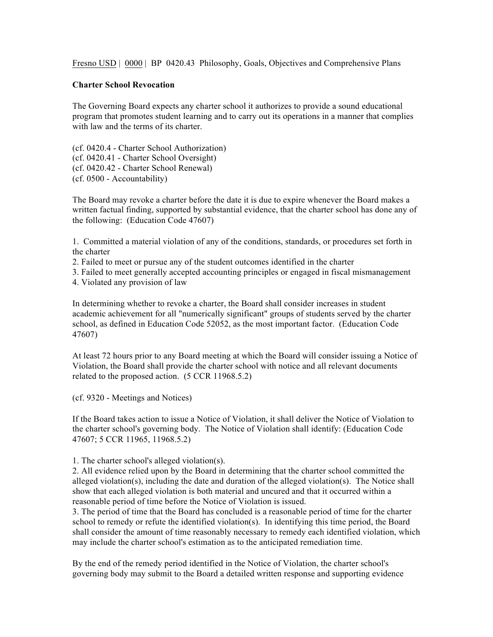Fresno USD | 0000 | BP 0420.43 Philosophy, Goals, Objectives and Comprehensive Plans

## **Charter School Revocation**

The Governing Board expects any charter school it authorizes to provide a sound educational program that promotes student learning and to carry out its operations in a manner that complies with law and the terms of its charter.

(cf. 0420.4 - Charter School Authorization) (cf. 0420.41 - Charter School Oversight) (cf. 0420.42 - Charter School Renewal) (cf. 0500 - Accountability)

The Board may revoke a charter before the date it is due to expire whenever the Board makes a written factual finding, supported by substantial evidence, that the charter school has done any of the following: (Education Code 47607)

1. Committed a material violation of any of the conditions, standards, or procedures set forth in the charter

2. Failed to meet or pursue any of the student outcomes identified in the charter

3. Failed to meet generally accepted accounting principles or engaged in fiscal mismanagement

4. Violated any provision of law

In determining whether to revoke a charter, the Board shall consider increases in student academic achievement for all "numerically significant" groups of students served by the charter school, as defined in Education Code 52052, as the most important factor. (Education Code 47607)

At least 72 hours prior to any Board meeting at which the Board will consider issuing a Notice of Violation, the Board shall provide the charter school with notice and all relevant documents related to the proposed action. (5 CCR 11968.5.2)

(cf. 9320 - Meetings and Notices)

If the Board takes action to issue a Notice of Violation, it shall deliver the Notice of Violation to the charter school's governing body. The Notice of Violation shall identify: (Education Code 47607; 5 CCR 11965, 11968.5.2)

1. The charter school's alleged violation(s).

2. All evidence relied upon by the Board in determining that the charter school committed the alleged violation(s), including the date and duration of the alleged violation(s). The Notice shall show that each alleged violation is both material and uncured and that it occurred within a reasonable period of time before the Notice of Violation is issued.

3. The period of time that the Board has concluded is a reasonable period of time for the charter school to remedy or refute the identified violation(s). In identifying this time period, the Board shall consider the amount of time reasonably necessary to remedy each identified violation, which may include the charter school's estimation as to the anticipated remediation time.

By the end of the remedy period identified in the Notice of Violation, the charter school's governing body may submit to the Board a detailed written response and supporting evidence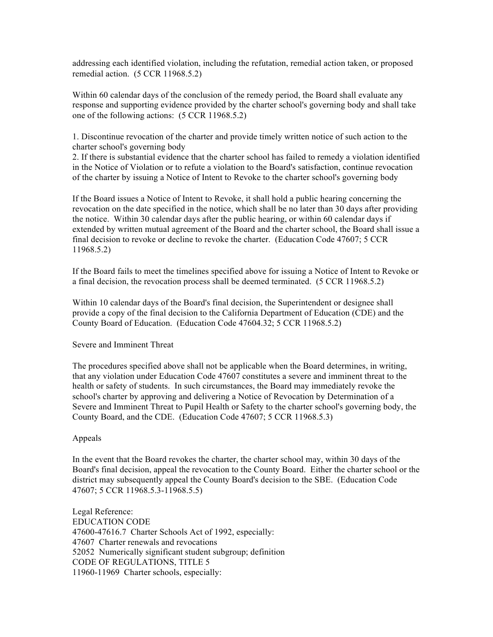addressing each identified violation, including the refutation, remedial action taken, or proposed remedial action. (5 CCR 11968.5.2)

Within 60 calendar days of the conclusion of the remedy period, the Board shall evaluate any response and supporting evidence provided by the charter school's governing body and shall take one of the following actions: (5 CCR 11968.5.2)

1. Discontinue revocation of the charter and provide timely written notice of such action to the charter school's governing body

2. If there is substantial evidence that the charter school has failed to remedy a violation identified in the Notice of Violation or to refute a violation to the Board's satisfaction, continue revocation of the charter by issuing a Notice of Intent to Revoke to the charter school's governing body

If the Board issues a Notice of Intent to Revoke, it shall hold a public hearing concerning the revocation on the date specified in the notice, which shall be no later than 30 days after providing the notice. Within 30 calendar days after the public hearing, or within 60 calendar days if extended by written mutual agreement of the Board and the charter school, the Board shall issue a final decision to revoke or decline to revoke the charter. (Education Code 47607; 5 CCR 11968.5.2)

If the Board fails to meet the timelines specified above for issuing a Notice of Intent to Revoke or a final decision, the revocation process shall be deemed terminated. (5 CCR 11968.5.2)

Within 10 calendar days of the Board's final decision, the Superintendent or designee shall provide a copy of the final decision to the California Department of Education (CDE) and the County Board of Education. (Education Code 47604.32; 5 CCR 11968.5.2)

## Severe and Imminent Threat

The procedures specified above shall not be applicable when the Board determines, in writing, that any violation under Education Code 47607 constitutes a severe and imminent threat to the health or safety of students. In such circumstances, the Board may immediately revoke the school's charter by approving and delivering a Notice of Revocation by Determination of a Severe and Imminent Threat to Pupil Health or Safety to the charter school's governing body, the County Board, and the CDE. (Education Code 47607; 5 CCR 11968.5.3)

## Appeals

In the event that the Board revokes the charter, the charter school may, within 30 days of the Board's final decision, appeal the revocation to the County Board. Either the charter school or the district may subsequently appeal the County Board's decision to the SBE. (Education Code 47607; 5 CCR 11968.5.3-11968.5.5)

Legal Reference: EDUCATION CODE 47600-47616.7 Charter Schools Act of 1992, especially: 47607 Charter renewals and revocations 52052 Numerically significant student subgroup; definition CODE OF REGULATIONS, TITLE 5 11960-11969 Charter schools, especially: